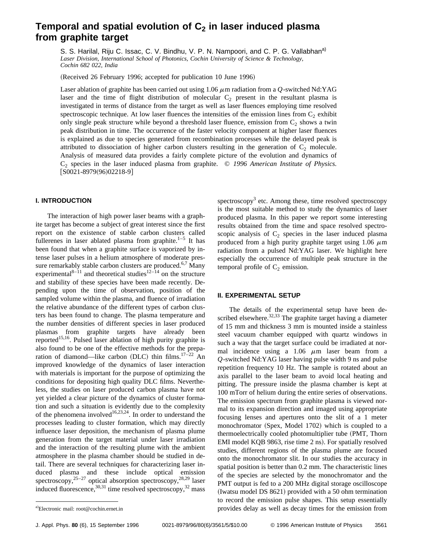# Temporal and spatial evolution of C<sub>2</sub> in laser induced plasma **from graphite target**

S. S. Harilal, Riju C. Issac, C. V. Bindhu, V. P. N. Nampoori, and C. P. G. Vallabhan<sup>a)</sup> *Laser Division, International School of Photonics, Cochin University of Science & Technology, Cochin 682 022, India*

(Received 26 February 1996; accepted for publication 10 June 1996)

Laser ablation of graphite has been carried out using  $1.06 \mu$ m radiation from a *Q*-switched Nd:YAG laser and the time of flight distribution of molecular  $C_2$  present in the resultant plasma is investigated in terms of distance from the target as well as laser fluences employing time resolved spectroscopic technique. At low laser fluences the intensities of the emission lines from  $C_2$  exhibit only single peak structure while beyond a threshold laser fluence, emission from  $C_2$  shows a twin peak distribution in time. The occurrence of the faster velocity component at higher laser fluences is explained as due to species generated from recombination processes while the delayed peak is attributed to dissociation of higher carbon clusters resulting in the generation of  $C_2$  molecule. Analysis of measured data provides a fairly complete picture of the evolution and dynamics of C2 species in the laser induced plasma from graphite. © *1996 American Institute of Physics.*  $[50021-8979(96)02218-9]$ 

# **I. INTRODUCTION**

The interaction of high power laser beams with a graphite target has become a subject of great interest since the first report on the existence of stable carbon clusters called fullerenes in laser ablated plasma from graphite.<sup>1–5</sup> It has been found that when a graphite surface is vaporized by intense laser pulses in a helium atmosphere of moderate pressure remarkably stable carbon clusters are produced.<sup>6,7</sup> Many experimental<sup>8–11</sup> and theoretical studies<sup>12–14</sup> on the structure and stability of these species have been made recently. Depending upon the time of observation, position of the sampled volume within the plasma, and fluence of irradiation the relative abundance of the different types of carbon clusters has been found to change. The plasma temperature and the number densities of different species in laser produced plasmas from graphite targets have already been reported<sup>15,16</sup>. Pulsed laser ablation of high purity graphite is also found to be one of the effective methods for the preparation of diamond—like carbon (DLC) thin films. $17-22$  An improved knowledge of the dynamics of laser interaction with materials is important for the purpose of optimizing the conditions for depositing high quality DLC films. Nevertheless, the studies on laser produced carbon plasma have not yet yielded a clear picture of the dynamics of cluster formation and such a situation is evidently due to the complexity of the phenomena involved<sup>16,23,24</sup>. In order to understand the processes leading to cluster formation, which may directly influence laser deposition, the mechanism of plasma plume generation from the target material under laser irradiation and the interaction of the resulting plume with the ambient atmosphere in the plasma chamber should be studied in detail. There are several techniques for characterizing laser induced plasma and these include optical emission spectroscopy,  $25-27$  optical absorption spectroscopy,  $28,29$  laser induced fluorescence,  $30,31$  time resolved spectroscopy,  $32$  mass

## **II. EXPERIMENTAL SETUP**

The details of the experimental setup have been described elsewhere. $32,33$  The graphite target having a diameter of 15 mm and thickness 3 mm is mounted inside a stainless steel vacuum chamber equipped with quartz windows in such a way that the target surface could be irradiated at normal incidence using a 1.06  $\mu$ m laser beam from a *Q*-switched Nd:YAG laser having pulse width 9 ns and pulse repetition frequency 10 Hz. The sample is rotated about an axis parallel to the laser beam to avoid local heating and pitting. The pressure inside the plasma chamber is kept at 100 mTorr of helium during the entire series of observations. The emission spectrum from graphite plasma is viewed normal to its expansion direction and imaged using appropriate focusing lenses and apertures onto the slit of a 1 meter monochromator (Spex, Model 1702) which is coupled to a thermoelectrically cooled photomultiplier tube (PMT, Thorn EMI model KQB 9863, rise time 2 ns). For spatially resolved studies, different regions of the plasma plume are focused onto the monochromator slit. In our studies the accuracy in spatial position is better than 0.2 mm. The characteristic lines of the species are selected by the monochromator and the PMT output is fed to a 200 MHz digital storage oscilloscope (Iwatsu model DS  $8621$ ) provided with a 50 ohm termination to record the emission pulse shapes. This setup essentially provides delay as well as decay times for the emission from

spectroscopy<sup>3</sup> etc. Among these, time resolved spectroscopy is the most suitable method to study the dynamics of laser produced plasma. In this paper we report some interesting results obtained from the time and space resolved spectroscopic analysis of  $C_2$  species in the laser induced plasma produced from a high purity graphite target using 1.06  $\mu$ m radiation from a pulsed Nd:YAG laser. We highlight here especially the occurrence of multiple peak structure in the temporal profile of  $C_2$  emission.

a)Electronic mail: root@cochin.ernet.in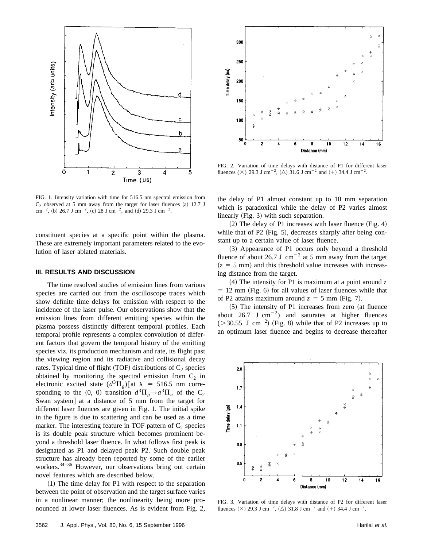

FIG. 1. Intensity variation with time for 516.5 nm spectral emission from  $C<sub>2</sub>$  observed at 5 mm away from the target for laser fluences (a) 12.7 J  $cm^{-2}$ , (b) 26.7 J cm<sup>-2</sup>, (c) 28 J cm<sup>-2</sup>, and (d) 29.3 J cm<sup>-2</sup>.

constituent species at a specific point within the plasma. These are extremely important parameters related to the evolution of laser ablated materials.

#### **III. RESULTS AND DISCUSSION**

The time resolved studies of emission lines from various species are carried out from the oscilloscope traces which show definite time delays for emission with respect to the incidence of the laser pulse. Our observations show that the emission lines from different emitting species within the plasma possess distinctly different temporal profiles. Each temporal profile represents a complex convolution of different factors that govern the temporal history of the emitting species viz. its production mechanism and rate, its flight past the viewing region and its radiative and collisional decay rates. Typical time of flight (TOF) distributions of  $C_2$  species obtained by monitoring the spectral emission from  $C_2$  in electronic excited state  $(d^3\Pi_g)[at \lambda = 516.5 \text{ nm}$  corresponding to the  $(0, 0)$  transition  $d^3\Pi_g \rightarrow a^3\Pi_u$  of the C<sub>2</sub> Swan system] at a distance of 5 mm from the target for different laser fluences are given in Fig. 1. The initial spike in the figure is due to scattering and can be used as a time marker. The interesting feature in TOF pattern of  $C_2$  species is its double peak structure which becomes prominent beyond a threshold laser fluence. In what follows first peak is designated as P1 and delayed peak P2. Such double peak structure has already been reported by some of the earlier workers.<sup>34–36</sup> However, our observations bring out certain novel features which are described below.

 $(1)$  The time delay for P1 with respect to the separation between the point of observation and the target surface varies in a nonlinear manner; the nonlinearity being more pronounced at lower laser fluences. As is evident from Fig. 2,



FIG. 2. Variation of time delays with distance of P1 for different laser fluences ( $\times$ ) 29.3 J cm<sup>-2</sup>, ( $\triangle$ ) 31.6 J cm<sup>-2</sup> and (+) 34.4 J cm<sup>-2</sup>.

the delay of P1 almost constant up to 10 mm separation which is paradoxical while the delay of P2 varies almost linearly  $(Fig. 3)$  with such separation.

 $(2)$  The delay of P1 increases with laser fluence (Fig. 4) while that of  $P2$  (Fig. 5), decreases sharply after being constant up to a certain value of laser fluence.

(3) Appearance of P1 occurs only beyond a threshold fluence of about 26.7 J cm<sup>-2</sup> at 5 mm away from the target  $(z = 5$  mm) and this threshold value increases with increasing distance from the target.

 $(4)$  The intensity for P1 is maximum at a point around z  $= 12$  mm (Fig. 6) for all values of laser fluences while that of P2 attains maximum around  $z = 5$  mm (Fig. 7).

 $(5)$  The intensity of P1 increases from zero (at fluence about 26.7 J cm<sup>-2</sup>) and saturates at higher fluences  $(>30.55$  J cm<sup>-2</sup>) (Fig. 8) while that of P2 increases up to an optimum laser fluence and begins to decrease thereafter



FIG. 3. Variation of time delays with distance of P2 for different laser fluences  $(\times)$  29.3 J cm<sup>-2</sup>,  $(\triangle)$  31.8 J cm<sup>-2</sup> and  $(+)$  34.4 J cm<sup>-2</sup>.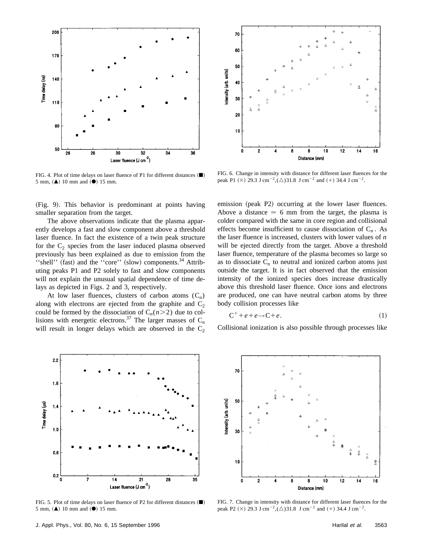

FIG. 4. Plot of time delays on laser fluence of P1 for different distances  $(\blacksquare)$ 5 mm,  $(A)$  10 mm and  $(①)$  15 mm.

FIG. 6. Change in intensity with distance for different laser fluences for the peak P1  $(\times)$  29.3 J cm<sup>-2</sup>,  $(\triangle)$ 31.8 J cm<sup>-2</sup> and  $(+)$  34.4 J cm<sup>-2</sup>.

6

8

Distance (mm)

 $10$ 

 $12$ 

 $14$ 

λ

16

70

60

50

40

30

20

 $10\,$ 

0

2

ntensity (arb. units)

(Fig. 9). This behavior is predominant at points having smaller separation from the target.

The above observations indicate that the plasma apparently develops a fast and slow component above a threshold laser fluence. In fact the existence of a twin peak structure for the  $C_2$  species from the laser induced plasma observed previously has been explained as due to emission from the "shell" (fast) and the "core" (slow) components.<sup>34</sup> Attributing peaks P1 and P2 solely to fast and slow components will not explain the unusual spatial dependence of time delays as depicted in Figs. 2 and 3, respectively.

At low laser fluences, clusters of carbon atoms  $(C_n)$ along with electrons are ejected from the graphite and  $C_2$ could be formed by the dissociation of  $C_n(n>2)$  due to collisions with energetic electrons.<sup>37</sup> The larger masses of  $C_n$ will result in longer delays which are observed in the  $C_2$ 



$$
C^+ + e + e \rightarrow C + e. \tag{1}
$$

Collisional ionization is also possible through processes like



FIG. 5. Plot of time delays on laser fluence of P2 for different distances  $(\blacksquare)$  $5$  mm,  $(A)$  10 mm and  $(O)$  15 mm.



FIG. 7. Change in intensity with distance for different laser fluences for the peak P2 ( $\times$ ) 29.3 J cm<sup>-2</sup>,( $\triangle$ )31.8 J cm<sup>-2</sup> and (+) 34.4 J cm<sup>-2</sup>.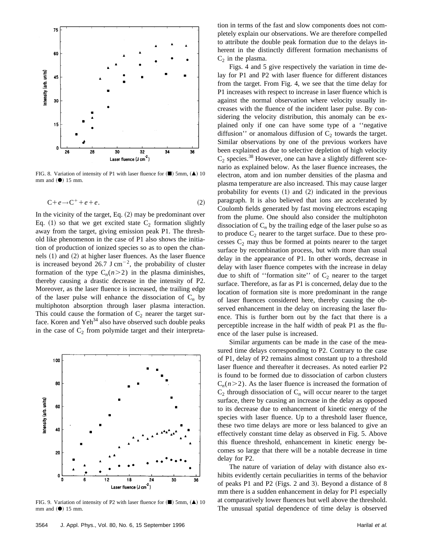

FIG. 8. Variation of intensity of P1 with laser fluence for  $(\blacksquare)$  5mm,  $(\blacktriangle)$  10 mm and  $(\bullet)$  15 mm.

$$
C + e \rightarrow C^+ + e + e. \tag{2}
$$

In the vicinity of the target, Eq.  $(2)$  may be predominant over Eq. (1) so that we get excited state  $C_2$  formation slightly away from the target, giving emission peak P1. The threshold like phenomenon in the case of P1 also shows the initiation of production of ionized species so as to open the channels  $(1)$  and  $(2)$  at higher laser fluences. As the laser fluence is increased beyond 26.7 J cm<sup>-2</sup>, the probability of cluster formation of the type  $C_n(n>2)$  in the plasma diminishes, thereby causing a drastic decrease in the intensity of P2. Moreover, as the laser fluence is increased, the trailing edge of the laser pulse will enhance the dissociation of  $C_n$  by multiphoton absorption through laser plasma interaction. This could cause the formation of  $C_2$  nearer the target surface. Koren and  $Yeh^{34}$  also have observed such double peaks in the case of  $C_2$  from polymide target and their interpreta-



FIG. 9. Variation of intensity of P2 with laser fluence for  $(\blacksquare)$  5mm,  $(\blacktriangle)$  10 mm and  $(\bullet)$  15 mm.

tion in terms of the fast and slow components does not completely explain our observations. We are therefore compelled to attribute the double peak formation due to the delays inherent in the distinctly different formation mechanisms of  $C_2$  in the plasma.

Figs. 4 and 5 give respectively the variation in time delay for P1 and P2 with laser fluence for different distances from the target. From Fig. 4, we see that the time delay for P1 increases with respect to increase in laser fluence which is against the normal observation where velocity usually increases with the fluence of the incident laser pulse. By considering the velocity distribution, this anomaly can be explained only if one can have some type of a ''negative diffusion'' or anomalous diffusion of  $C_2$  towards the target. Similar observations by one of the previous workers have been explained as due to selective depletion of high velocity  $C_2$  species.<sup>38</sup> However, one can have a slightly different scenario as explained below. As the laser fluence increases, the electron, atom and ion number densities of the plasma and plasma temperature are also increased. This may cause larger probability for events  $(1)$  and  $(2)$  indicated in the previous paragraph. It is also believed that ions are accelerated by Coulomb fields generated by fast moving electrons escaping from the plume. One should also consider the multiphoton dissociation of  $C_n$  by the trailing edge of the laser pulse so as to produce  $C_2$  nearer to the target surface. Due to these processes  $C_2$  may thus be formed at points nearer to the target surface by recombination process, but with more than usual delay in the appearance of P1. In other words, decrease in delay with laser fluence competes with the increase in delay due to shift of "formation site" of  $C_2$  nearer to the target surface. Therefore, as far as P1 is concerned, delay due to the location of formation site is more predominant in the range of laser fluences considered here, thereby causing the observed enhancement in the delay on increasing the laser fluence. This is further born out by the fact that there is a perceptible increase in the half width of peak P1 as the fluence of the laser pulse is increased.

Similar arguments can be made in the case of the measured time delays corresponding to P2. Contrary to the case of P1, delay of P2 remains almost constant up to a threshold laser fluence and thereafter it decreases. As noted earlier P2 is found to be formed due to dissociation of carbon clusters  $C_n(n>2)$ . As the laser fluence is increased the formation of  $C_2$  through dissociation of  $C_n$  will occur nearer to the target surface, there by causing an increase in the delay as opposed to its decrease due to enhancement of kinetic energy of the species with laser fluence. Up to a threshold laser fluence, these two time delays are more or less balanced to give an effectively constant time delay as observed in Fig. 5. Above this fluence threshold, enhancement in kinetic energy becomes so large that there will be a notable decrease in time delay for P2.

The nature of variation of delay with distance also exhibits evidently certain peculiarities in terms of the behavior of peaks P1 and P2 (Figs. 2 and 3). Beyond a distance of  $8$ mm there is a sudden enhancement in delay for P1 especially at comparatively lower fluences but well above the threshold. The unusual spatial dependence of time delay is observed